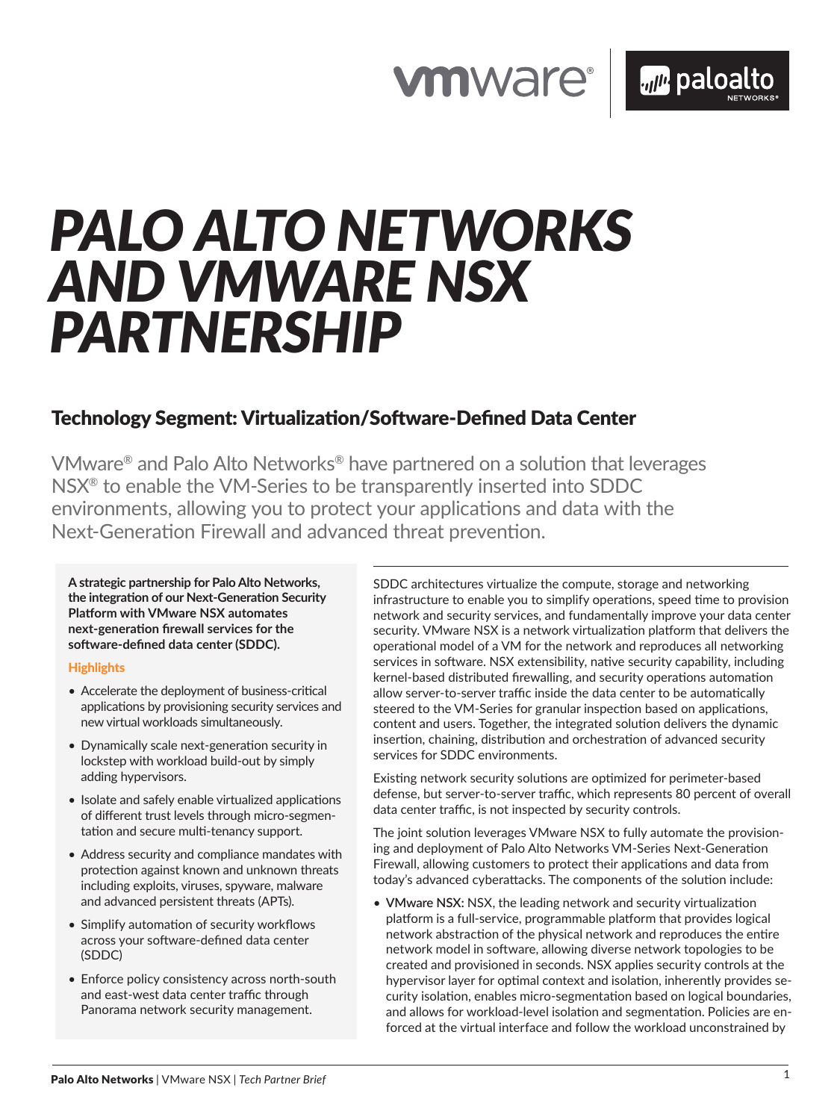## **vmware®**

# *PALO ALTO NETWORKS AND VMWARE NSX PARTNERSHIP*

### Technology Segment: Virtualization/Software-Defined Data Center

VMware® and Palo Alto Networks® have partnered on a solution that leverages NSX® to enable the VM-Series to be transparently inserted into SDDC environments, allowing you to protect your applications and data with the Next-Generation Firewall and advanced threat prevention.

**A strategic partnership for Palo Alto Networks, the integration of our Next-Generation Security Platform with VMware NSX automates next-generation firewall services for the software-defined data center (SDDC).** 

#### **Highlights**

- Accelerate the deployment of business-critical applications by provisioning security services and new virtual workloads simultaneously.
- Dynamically scale next-generation security in lockstep with workload build-out by simply adding hypervisors.
- Isolate and safely enable virtualized applications of different trust levels through micro-segmentation and secure multi-tenancy support.
- Address security and compliance mandates with protection against known and unknown threats including exploits, viruses, spyware, malware and advanced persistent threats (APTs).
- Simplify automation of security workflows across your software-defined data center (SDDC)
- Enforce policy consistency across north-south and east-west data center traffic through Panorama network security management.

SDDC architectures virtualize the compute, storage and networking infrastructure to enable you to simplify operations, speed time to provision network and security services, and fundamentally improve your data center security. VMware NSX is a network virtualization platform that delivers the operational model of a VM for the network and reproduces all networking services in software. NSX extensibility, native security capability, including kernel-based distributed firewalling, and security operations automation allow server-to-server traffic inside the data center to be automatically steered to the VM-Series for granular inspection based on applications, content and users. Together, the integrated solution delivers the dynamic insertion, chaining, distribution and orchestration of advanced security services for SDDC environments.

Existing network security solutions are optimized for perimeter-based defense, but server-to-server traffic, which represents 80 percent of overall data center traffic, is not inspected by security controls.

The joint solution leverages VMware NSX to fully automate the provisioning and deployment of Palo Alto Networks VM-Series Next-Generation Firewall, allowing customers to protect their applications and data from today's advanced cyberattacks. The components of the solution include:

• **VMware NSX:** NSX, the leading network and security virtualization platform is a full-service, programmable platform that provides logical network abstraction of the physical network and reproduces the entire network model in software, allowing diverse network topologies to be created and provisioned in seconds. NSX applies security controls at the hypervisor layer for optimal context and isolation, inherently provides security isolation, enables micro-segmentation based on logical boundaries, and allows for workload-level isolation and segmentation. Policies are enforced at the virtual interface and follow the workload unconstrained by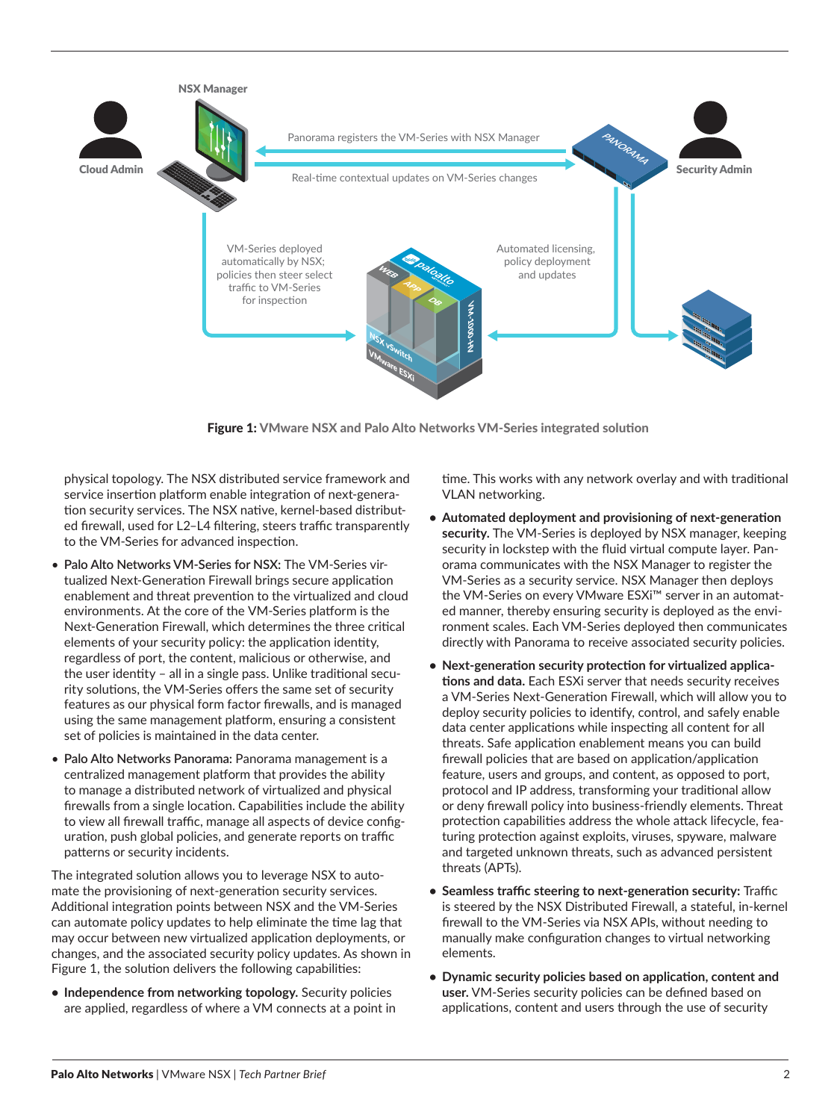

Figure 1: VMware NSX and Palo Alto Networks VM-Series integrated solution

physical topology. The NSX distributed service framework and service insertion platform enable integration of next-generation security services. The NSX native, kernel-based distributed firewall, used for L2–L4 filtering, steers traffic transparently to the VM-Series for advanced inspection.

- **Palo Alto Networks VM-Series for NSX:** The VM-Series virtualized Next-Generation Firewall brings secure application enablement and threat prevention to the virtualized and cloud environments. At the core of the VM-Series platform is the Next-Generation Firewall, which determines the three critical elements of your security policy: the application identity, regardless of port, the content, malicious or otherwise, and the user identity – all in a single pass. Unlike traditional security solutions, the VM-Series offers the same set of security features as our physical form factor firewalls, and is managed using the same management platform, ensuring a consistent set of policies is maintained in the data center.
- **Palo Alto Networks Panorama:** Panorama management is a centralized management platform that provides the ability to manage a distributed network of virtualized and physical firewalls from a single location. Capabilities include the ability to view all firewall traffic, manage all aspects of device configuration, push global policies, and generate reports on traffic patterns or security incidents.

The integrated solution allows you to leverage NSX to automate the provisioning of next-generation security services. Additional integration points between NSX and the VM-Series can automate policy updates to help eliminate the time lag that may occur between new virtualized application deployments, or changes, and the associated security policy updates. As shown in Figure 1, the solution delivers the following capabilities:

**• Independence from networking topology.** Security policies are applied, regardless of where a VM connects at a point in time. This works with any network overlay and with traditional VLAN networking.

- **• Automated deployment and provisioning of next-generation security.** The VM-Series is deployed by NSX manager, keeping security in lockstep with the fluid virtual compute layer. Panorama communicates with the NSX Manager to register the VM-Series as a security service. NSX Manager then deploys the VM-Series on every VMware ESXi™ server in an automated manner, thereby ensuring security is deployed as the environment scales. Each VM-Series deployed then communicates directly with Panorama to receive associated security policies.
- **• Next-generation security protection for virtualized applications and data.** Each ESXi server that needs security receives a VM-Series Next-Generation Firewall, which will allow you to deploy security policies to identify, control, and safely enable data center applications while inspecting all content for all threats. Safe application enablement means you can build firewall policies that are based on application/application feature, users and groups, and content, as opposed to port, protocol and IP address, transforming your traditional allow or deny firewall policy into business-friendly elements. Threat protection capabilities address the whole attack lifecycle, featuring protection against exploits, viruses, spyware, malware and targeted unknown threats, such as advanced persistent threats (APTs).
- **• Seamless traffic steering to next-generation security:** Traffic is steered by the NSX Distributed Firewall, a stateful, in-kernel firewall to the VM-Series via NSX APIs, without needing to manually make configuration changes to virtual networking elements.
- **• Dynamic security policies based on application, content and user.** VM-Series security policies can be defined based on applications, content and users through the use of security